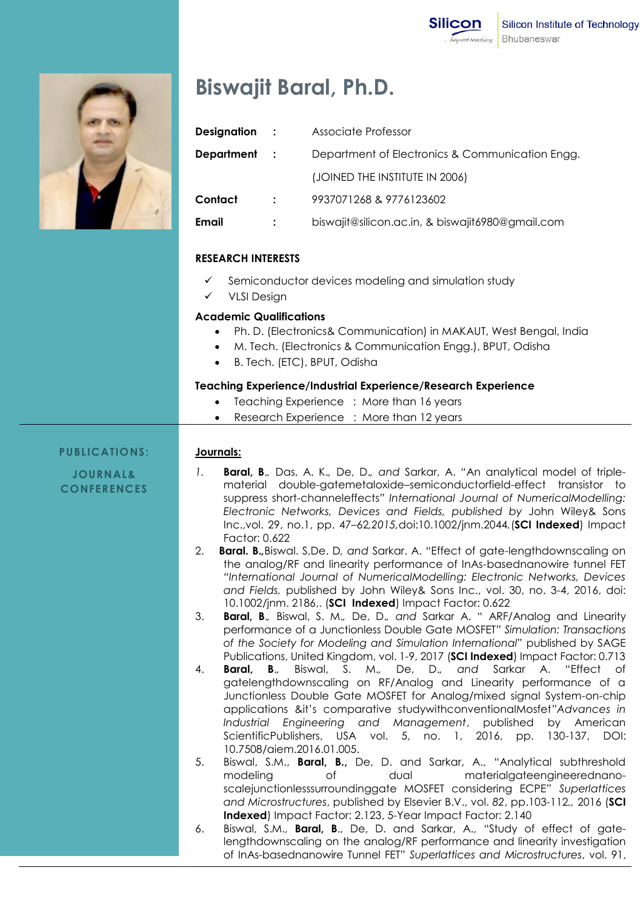

# **Biswajit Baral, Ph.D.**

| Designation       | $\sim 1000$    | Associate Professor                              |
|-------------------|----------------|--------------------------------------------------|
| <b>Department</b> | $\mathbf{r}$   | Department of Electronics & Communication Engg.  |
|                   |                | (JOINED THE INSTITUTE IN 2006)                   |
| Contact           | $\ddot{\cdot}$ | 9937071268 & 9776123602                          |
| Email             |                | biswajit@silicon.ac.in, & biswajit6980@gmail.com |
|                   |                |                                                  |

### **RESEARCH INTERESTS**

- Semiconductor devices modeling and simulation study
- VLSI Design

## **Academic Qualifications**

- Ph. D. (Electronics& Communication) in MAKAUT, West Bengal, India
- M. Tech. (Electronics & Communication Engg.), BPUT, Odisha
- B. Tech. (ETC), BPUT, Odisha

### **Teaching Experience/Industrial Experience/Research Experience**

- Teaching Experience : More than 16 years
- Research Experience : More than 12 years

#### **PUBLICATIONS: Journals:**

**JOURNAL& CONFERENCES**

- *1.* **Baral, B**.*,* Das, A. K.*,* De, D.*, and* Sarkar, A. *"*An analytical model of triplematerial double-gatemetaloxide–semiconductorfield-effect transistor to suppress short-channeleffects*" International Journal of NumericalModelling: Electronic Networks, Devices and Fields, published by* John Wiley& Sons Inc.,vol. 29, no.1, pp. 47*–*62*,2015,*doi:10.1002/jnm.2044*.*(**SCI Indexed**) Impact Factor: 0.622
- 2. **Baral. B.***,*Biswal. S,De. D*, and* Sarkar. A. "Effect of gate-lengthdownscaling on the analog/RF and linearity performance of InAs-basednanowire tunnel FET *"International Journal of NumericalModelling: Electronic Networks, Devices and Fields,* published by John Wiley& Sons Inc., vol. 30, no. 3-4, 2016, doi: 10.1002/jnm. 2186,. (**SCI Indexed**) Impact Factor: 0.622
- 3. **Baral, B**.*,* Biswal, S. M.*,* De, D.*, and* Sarkar A. " ARF/Analog and Linearity performance of a Junctionless Double Gate MOSFET*" Simulation: Transactions of the Society for Modeling and Simulation International*" published by SAGE Publications, United Kingdom, vol. 1-9, 2017 (**SCI Indexed**) Impact Factor: 0.713
- 4. **Baral, B**.*,* Biswal, S. M.*,* De, D.*, and* Sarkar A. "Effect of gatelengthdownscaling on RF/Analog and Linearity performance of a Junctionless Double Gate MOSFET for Analog/mixed signal System-on-chip applications &it's comparative studywithconventionalMosfet*"Advances in Industrial Engineering and Management*, published by American ScientificPublishers, USA vol. 5, no. 1, 2016, pp. 130-137, DOI: 10.7508/aiem.2016.01.005.
- 5. Biswal, S.M., **Baral, B.,** De, D. and Sarkar, A., "Analytical subthreshold modeling of dual materialgateengineerednanoscalejunctionlesssurroundinggate MOSFET considering ECPE" *Superlattices and Microstructures*, published by Elsevier B.V., vol. *82*, pp.103-112*.,* 2016 (**SCI Indexed**) Impact Factor: 2.123, 5-Year Impact Factor: 2.140
- 6. Biswal, S.M., **Baral, B**., De, D. and Sarkar, A., "Study of effect of gatelengthdownscaling on the analog/RF performance and linearity investigation of InAs-basednanowire Tunnel FET" *Superlattices and Microstructures*, vol. 91,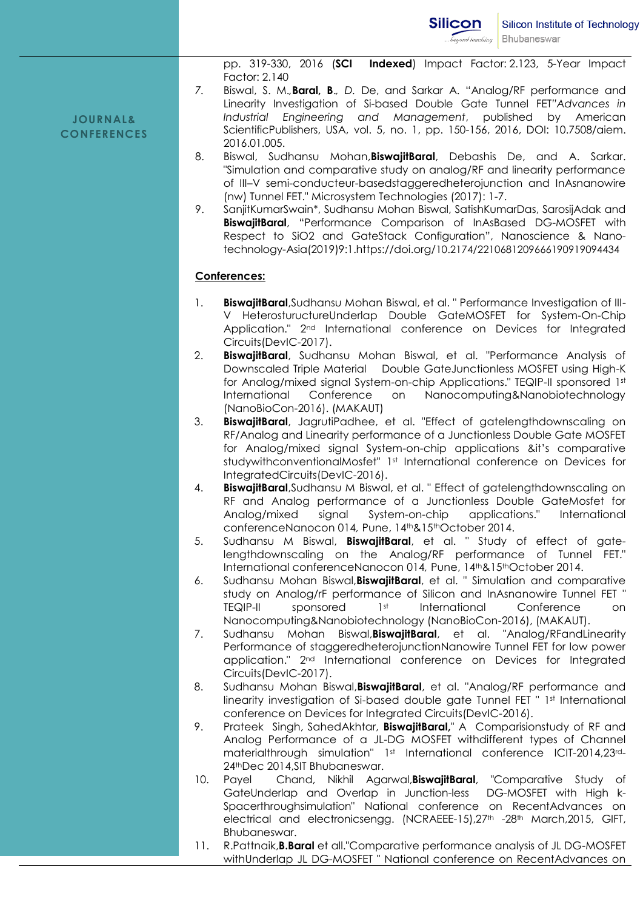**JOURNAL& CONFERENCES**

- pp. 319-330, 2016 (**SCI Indexed**) Impact Factor: 2.123, 5-Year Impact Factor: 2.140
- *7.* Biswal, S. M.*,***Baral, B**.*, D.* De, and Sarkar A. "Analog/RF performance and Linearity Investigation of Si-based Double Gate Tunnel FET*"Advances in Industrial Engineering and Management*, published by American ScientificPublishers, USA, vol. 5, no. 1, pp. 150-156, 2016, DOI: 10.7508/aiem. 2016.01.005.
- 8. Biswal, Sudhansu Mohan,**BiswajitBaral**, Debashis De, and A. Sarkar. "Simulation and comparative study on analog/RF and linearity performance of III–V semi-conducteur-basedstaggeredheterojunction and InAsnanowire (nw) Tunnel FET." Microsystem Technologies (2017): 1-7.
- 9. SanjitKumarSwain\*, Sudhansu Mohan Biswal, SatishKumarDas, SarosijAdak and **BiswajitBaral**, "Performance Comparison of InAsBased DG-MOSFET with Respect to SiO2 and GateStack Configuration", Nanoscience & Nanotechnology-Asia(2019)9:1.https://doi.org/10.2174/2210681209666190919094434

#### **Conferences:**

- 1. **BiswajitBaral**,Sudhansu Mohan Biswal, et al. " Performance Investigation of III-V HeterostuructureUnderlap Double GateMOSFET for System-On-Chip Application." 2nd International conference on Devices for Integrated Circuits(DevIC-2017).
- 2. **BiswajitBaral**, Sudhansu Mohan Biswal, et al. "Performance Analysis of Downscaled Triple Material Double GateJunctionless MOSFET using High-K for Analog/mixed signal System-on-chip Applications." TEQIP-II sponsored 1st International Conference on Nanocomputing&Nanobiotechnology (NanoBioCon-2016). (MAKAUT)
- 3. **BiswajitBaral**, JagrutiPadhee, et al. "Effect of gatelengthdownscaling on RF/Analog and Linearity performance of a Junctionless Double Gate MOSFET for Analog/mixed signal System-on-chip applications &it's comparative studywithconventionalMosfet" 1st International conference on Devices for IntegratedCircuits(DevIC-2016).
- 4. **BiswajitBaral**,Sudhansu M Biswal, et al. " Effect of gatelengthdownscaling on RF and Analog performance of a Junctionless Double GateMosfet for Analog/mixed signal System-on-chip applications." International conferenceNanocon 014*,* Pune, 14th&15thOctober 2014.
- 5. Sudhansu M Biswal, **BiswajitBaral**, et al. " Study of effect of gatelengthdownscaling on the Analog/RF performance of Tunnel FET." International conferenceNanocon 014*,* Pune, 14th&15thOctober 2014.
- 6. Sudhansu Mohan Biswal,**BiswajitBaral**, et al. " Simulation and comparative study on Analog/rF performance of Silicon and InAsnanowire Tunnel FET " TEQIP-II sponsored 1st International Conference on Nanocomputing&Nanobiotechnology (NanoBioCon-2016), (MAKAUT).
- 7. Sudhansu Mohan Biswal,**BiswajitBaral**, et al. "Analog/RFandLinearity Performance of staggeredheterojunctionNanowire Tunnel FET for low power application." 2nd International conference on Devices for Integrated Circuits(DevIC-2017).
- 8. Sudhansu Mohan Biswal,**BiswajitBaral**, et al. "Analog/RF performance and linearity investigation of Si-based double gate Tunnel FET " 1st International conference on Devices for Integrated Circuits(DevIC-2016).
- 9. Prateek Singh, SahedAkhtar, **BiswajitBaral,**" A Comparisionstudy of RF and Analog Performance of a JL-DG MOSFET withdifferent types of Channel materialthrough simulation" 1<sup>st</sup> International conference ICIT-2014,23<sup>rd</sup>-24thDec 2014,SIT Bhubaneswar.
- 10. Payel Chand, Nikhil Agarwal,**BiswajitBaral**, "Comparative Study of GateUnderlap and Overlap in Junction-less DG-MOSFET with High k-Spacerthroughsimulation" National conference on RecentAdvances on electrical and electronicsengg. (NCRAEEE-15),27<sup>th</sup> -28<sup>th</sup> March,2015, GIFT, Bhubaneswar.
- 11. R.Pattnaik,**B.Baral** et all."Comparative performance analysis of JL DG-MOSFET withUnderlap JL DG-MOSFET " National conference on RecentAdvances on